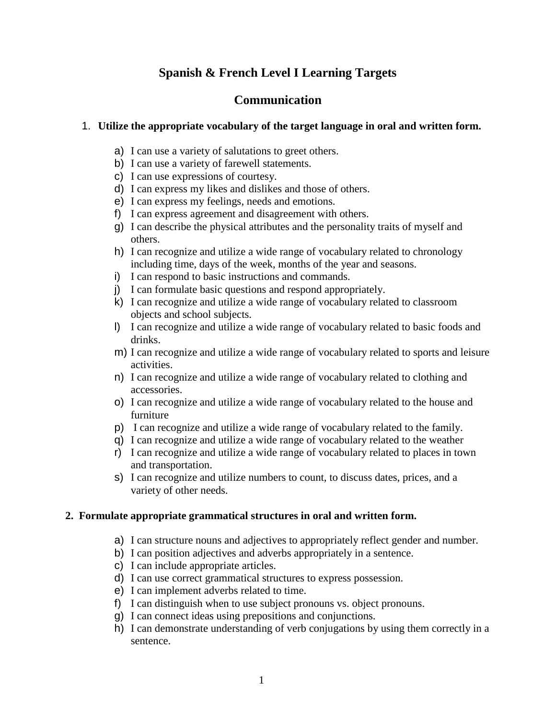# **Spanish & French Level I Learning Targets**

## **Communication**

## 1. **Utilize the appropriate vocabulary of the target language in oral and written form.**

- a) I can use a variety of salutations to greet others.
- b) I can use a variety of farewell statements.
- c) I can use expressions of courtesy.
- d) I can express my likes and dislikes and those of others.
- e) I can express my feelings, needs and emotions.
- f) I can express agreement and disagreement with others.
- g) I can describe the physical attributes and the personality traits of myself and others.
- h) I can recognize and utilize a wide range of vocabulary related to chronology including time, days of the week, months of the year and seasons.
- i) I can respond to basic instructions and commands.
- j) I can formulate basic questions and respond appropriately.
- k) I can recognize and utilize a wide range of vocabulary related to classroom objects and school subjects.
- l) I can recognize and utilize a wide range of vocabulary related to basic foods and drinks.
- m) I can recognize and utilize a wide range of vocabulary related to sports and leisure activities.
- n) I can recognize and utilize a wide range of vocabulary related to clothing and accessories.
- o) I can recognize and utilize a wide range of vocabulary related to the house and furniture
- p) I can recognize and utilize a wide range of vocabulary related to the family.
- q) I can recognize and utilize a wide range of vocabulary related to the weather
- r) I can recognize and utilize a wide range of vocabulary related to places in town and transportation.
- s) I can recognize and utilize numbers to count, to discuss dates, prices, and a variety of other needs.

#### **2. Formulate appropriate grammatical structures in oral and written form.**

- a) I can structure nouns and adjectives to appropriately reflect gender and number.
- b) I can position adjectives and adverbs appropriately in a sentence.
- c) I can include appropriate articles.
- d) I can use correct grammatical structures to express possession.
- e) I can implement adverbs related to time.
- f) I can distinguish when to use subject pronouns vs. object pronouns.
- g) I can connect ideas using prepositions and conjunctions.
- h) I can demonstrate understanding of verb conjugations by using them correctly in a sentence.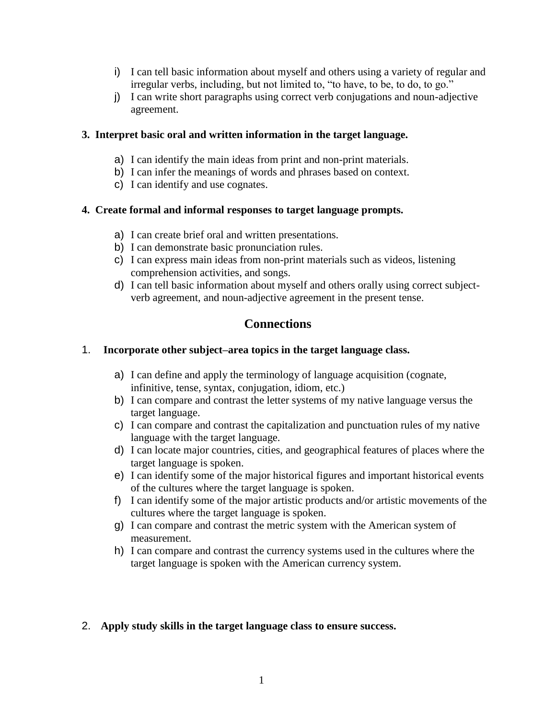- i) I can tell basic information about myself and others using a variety of regular and irregular verbs, including, but not limited to, "to have, to be, to do, to go."
- j) I can write short paragraphs using correct verb conjugations and noun-adjective agreement.

### **3. Interpret basic oral and written information in the target language.**

- a) I can identify the main ideas from print and non-print materials.
- b) I can infer the meanings of words and phrases based on context.
- c) I can identify and use cognates.

### **4. Create formal and informal responses to target language prompts.**

- a) I can create brief oral and written presentations.
- b) I can demonstrate basic pronunciation rules.
- c) I can express main ideas from non-print materials such as videos, listening comprehension activities, and songs.
- d) I can tell basic information about myself and others orally using correct subjectverb agreement, and noun-adjective agreement in the present tense.

# **Connections**

## 1. **Incorporate other subject–area topics in the target language class.**

- a) I can define and apply the terminology of language acquisition (cognate, infinitive, tense, syntax, conjugation, idiom, etc.)
- b) I can compare and contrast the letter systems of my native language versus the target language.
- c) I can compare and contrast the capitalization and punctuation rules of my native language with the target language.
- d) I can locate major countries, cities, and geographical features of places where the target language is spoken.
- e) I can identify some of the major historical figures and important historical events of the cultures where the target language is spoken.
- f) I can identify some of the major artistic products and/or artistic movements of the cultures where the target language is spoken.
- g) I can compare and contrast the metric system with the American system of measurement.
- h) I can compare and contrast the currency systems used in the cultures where the target language is spoken with the American currency system.

## 2. **Apply study skills in the target language class to ensure success.**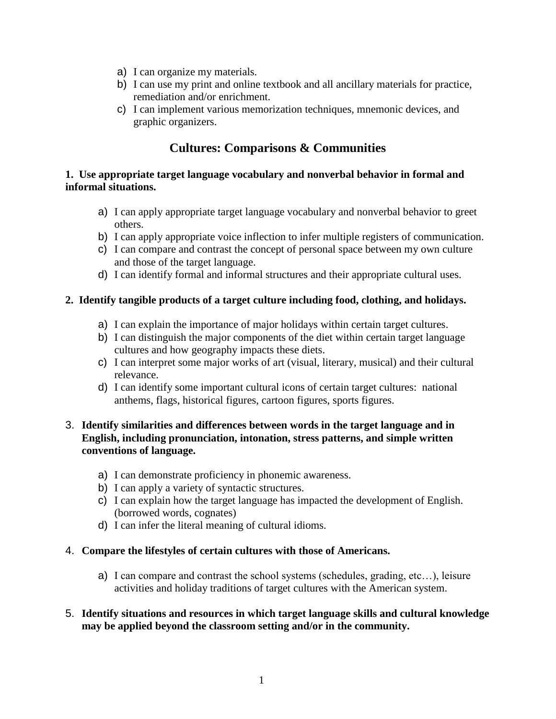- a) I can organize my materials.
- b) I can use my print and online textbook and all ancillary materials for practice, remediation and/or enrichment.
- c) I can implement various memorization techniques, mnemonic devices, and graphic organizers.

# **Cultures: Comparisons & Communities**

### **1. Use appropriate target language vocabulary and nonverbal behavior in formal and informal situations.**

- a) I can apply appropriate target language vocabulary and nonverbal behavior to greet others.
- b) I can apply appropriate voice inflection to infer multiple registers of communication.
- c) I can compare and contrast the concept of personal space between my own culture and those of the target language.
- d) I can identify formal and informal structures and their appropriate cultural uses.

### **2. Identify tangible products of a target culture including food, clothing, and holidays.**

- a) I can explain the importance of major holidays within certain target cultures.
- b) I can distinguish the major components of the diet within certain target language cultures and how geography impacts these diets.
- c) I can interpret some major works of art (visual, literary, musical) and their cultural relevance.
- d) I can identify some important cultural icons of certain target cultures: national anthems, flags, historical figures, cartoon figures, sports figures.

### 3. **Identify similarities and differences between words in the target language and in English, including pronunciation, intonation, stress patterns, and simple written conventions of language.**

- a) I can demonstrate proficiency in phonemic awareness.
- b) I can apply a variety of syntactic structures.
- c) I can explain how the target language has impacted the development of English. (borrowed words, cognates)
- d) I can infer the literal meaning of cultural idioms.

#### 4. **Compare the lifestyles of certain cultures with those of Americans.**

a) I can compare and contrast the school systems (schedules, grading, etc…), leisure activities and holiday traditions of target cultures with the American system.

### 5. **Identify situations and resources in which target language skills and cultural knowledge may be applied beyond the classroom setting and/or in the community.**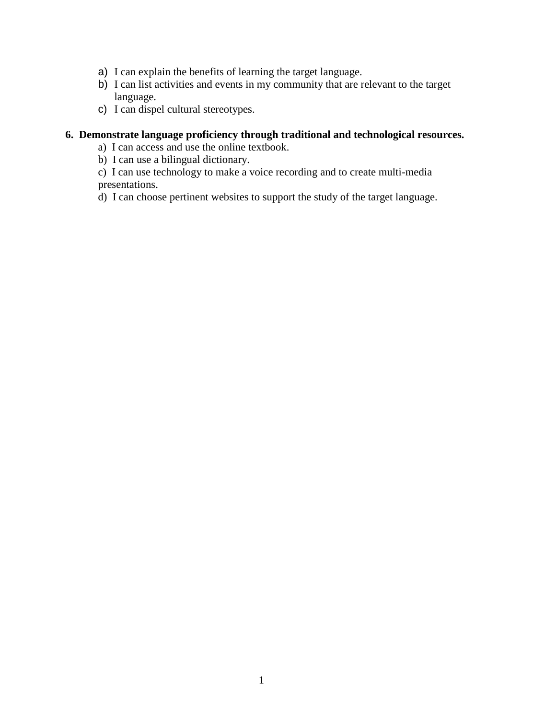- a) I can explain the benefits of learning the target language.
- b) I can list activities and events in my community that are relevant to the target language.
- c) I can dispel cultural stereotypes.

## **6. Demonstrate language proficiency through traditional and technological resources.**

- a) I can access and use the online textbook.
- b) I can use a bilingual dictionary.

c) I can use technology to make a voice recording and to create multi-media presentations.

d) I can choose pertinent websites to support the study of the target language.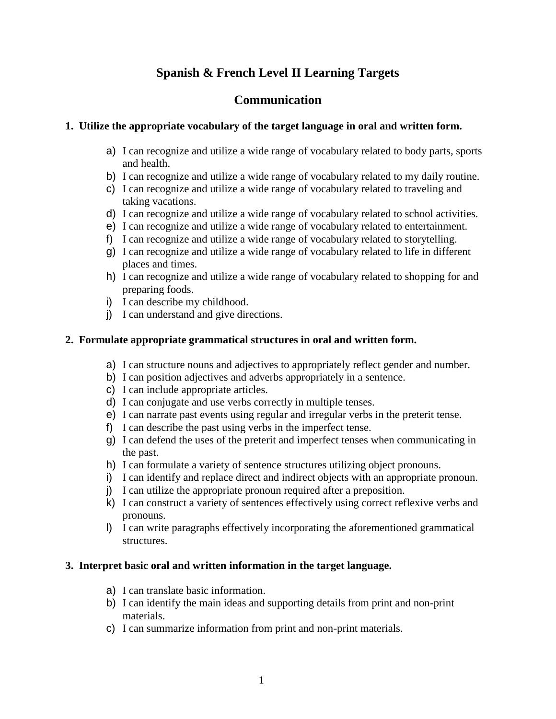# **Spanish & French Level II Learning Targets**

## **Communication**

### **1. Utilize the appropriate vocabulary of the target language in oral and written form.**

- a) I can recognize and utilize a wide range of vocabulary related to body parts, sports and health.
- b) I can recognize and utilize a wide range of vocabulary related to my daily routine.
- c) I can recognize and utilize a wide range of vocabulary related to traveling and taking vacations.
- d) I can recognize and utilize a wide range of vocabulary related to school activities.
- e) I can recognize and utilize a wide range of vocabulary related to entertainment.
- f) I can recognize and utilize a wide range of vocabulary related to storytelling.
- g) I can recognize and utilize a wide range of vocabulary related to life in different places and times.
- h) I can recognize and utilize a wide range of vocabulary related to shopping for and preparing foods.
- i) I can describe my childhood.
- j) I can understand and give directions.

### **2. Formulate appropriate grammatical structures in oral and written form.**

- a) I can structure nouns and adjectives to appropriately reflect gender and number.
- b) I can position adjectives and adverbs appropriately in a sentence.
- c) I can include appropriate articles.
- d) I can conjugate and use verbs correctly in multiple tenses.
- e) I can narrate past events using regular and irregular verbs in the preterit tense.
- f) I can describe the past using verbs in the imperfect tense.
- g) I can defend the uses of the preterit and imperfect tenses when communicating in the past.
- h) I can formulate a variety of sentence structures utilizing object pronouns.
- i) I can identify and replace direct and indirect objects with an appropriate pronoun.
- j) I can utilize the appropriate pronoun required after a preposition.
- k) I can construct a variety of sentences effectively using correct reflexive verbs and pronouns.
- l) I can write paragraphs effectively incorporating the aforementioned grammatical structures.

#### **3. Interpret basic oral and written information in the target language.**

- a) I can translate basic information.
- b) I can identify the main ideas and supporting details from print and non-print materials.
- c) I can summarize information from print and non-print materials.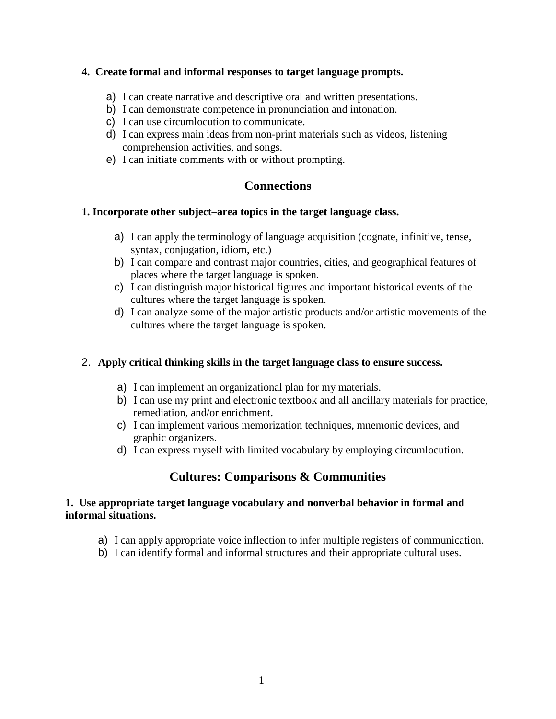#### **4. Create formal and informal responses to target language prompts.**

- a) I can create narrative and descriptive oral and written presentations.
- b) I can demonstrate competence in pronunciation and intonation.
- c) I can use circumlocution to communicate.
- d) I can express main ideas from non-print materials such as videos, listening comprehension activities, and songs.
- e) I can initiate comments with or without prompting.

# **Connections**

### **1. Incorporate other subject–area topics in the target language class.**

- a) I can apply the terminology of language acquisition (cognate, infinitive, tense, syntax, conjugation, idiom, etc.)
- b) I can compare and contrast major countries, cities, and geographical features of places where the target language is spoken.
- c) I can distinguish major historical figures and important historical events of the cultures where the target language is spoken.
- d) I can analyze some of the major artistic products and/or artistic movements of the cultures where the target language is spoken.

## 2. **Apply critical thinking skills in the target language class to ensure success.**

- a) I can implement an organizational plan for my materials.
- b) I can use my print and electronic textbook and all ancillary materials for practice, remediation, and/or enrichment.
- c) I can implement various memorization techniques, mnemonic devices, and graphic organizers.
- d) I can express myself with limited vocabulary by employing circumlocution.

# **Cultures: Comparisons & Communities**

## **1. Use appropriate target language vocabulary and nonverbal behavior in formal and informal situations.**

- a) I can apply appropriate voice inflection to infer multiple registers of communication.
- b) I can identify formal and informal structures and their appropriate cultural uses.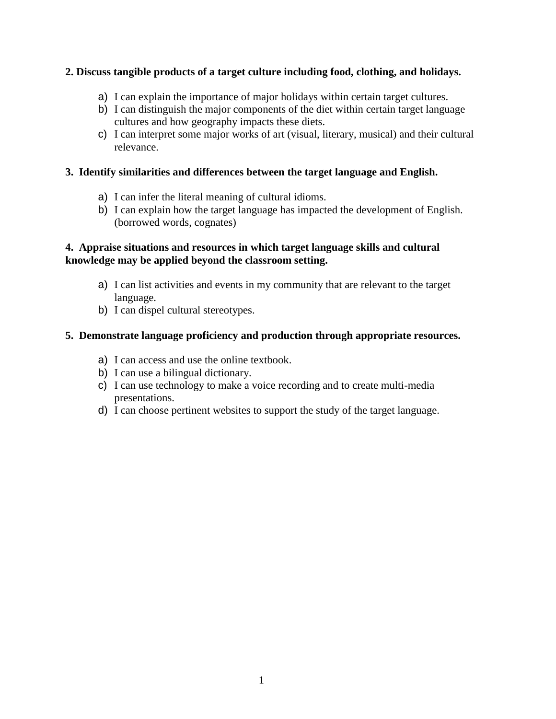### **2. Discuss tangible products of a target culture including food, clothing, and holidays.**

- a) I can explain the importance of major holidays within certain target cultures.
- b) I can distinguish the major components of the diet within certain target language cultures and how geography impacts these diets.
- c) I can interpret some major works of art (visual, literary, musical) and their cultural relevance.

### **3. Identify similarities and differences between the target language and English.**

- a) I can infer the literal meaning of cultural idioms.
- b) I can explain how the target language has impacted the development of English. (borrowed words, cognates)

### **4. Appraise situations and resources in which target language skills and cultural knowledge may be applied beyond the classroom setting.**

- a) I can list activities and events in my community that are relevant to the target language.
- b) I can dispel cultural stereotypes.

### **5. Demonstrate language proficiency and production through appropriate resources.**

- a) I can access and use the online textbook.
- b) I can use a bilingual dictionary.
- c) I can use technology to make a voice recording and to create multi-media presentations.
- d) I can choose pertinent websites to support the study of the target language.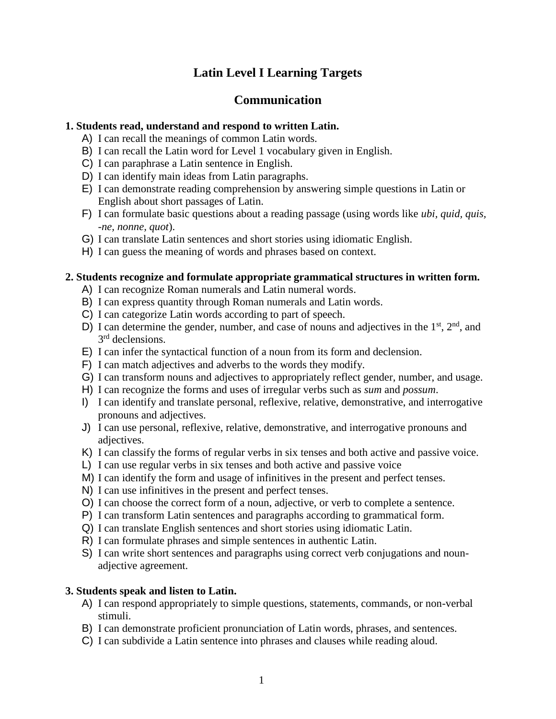# **Latin Level I Learning Targets**

## **Communication**

#### **1. Students read, understand and respond to written Latin.**

- A) I can recall the meanings of common Latin words.
- B) I can recall the Latin word for Level 1 vocabulary given in English.
- C) I can paraphrase a Latin sentence in English.
- D) I can identify main ideas from Latin paragraphs.
- E) I can demonstrate reading comprehension by answering simple questions in Latin or English about short passages of Latin.
- F) I can formulate basic questions about a reading passage (using words like *ubi, quid, quis, -ne, nonne, quot*).
- G) I can translate Latin sentences and short stories using idiomatic English.
- H) I can guess the meaning of words and phrases based on context.

### **2. Students recognize and formulate appropriate grammatical structures in written form.**

- A) I can recognize Roman numerals and Latin numeral words.
- B) I can express quantity through Roman numerals and Latin words.
- C) I can categorize Latin words according to part of speech.
- D) I can determine the gender, number, and case of nouns and adjectives in the  $1<sup>st</sup>$ ,  $2<sup>nd</sup>$ , and 3<sup>rd</sup> declensions.
- E) I can infer the syntactical function of a noun from its form and declension.
- F) I can match adjectives and adverbs to the words they modify.
- G) I can transform nouns and adjectives to appropriately reflect gender, number, and usage.
- H) I can recognize the forms and uses of irregular verbs such as *sum* and *possum*.
- I) I can identify and translate personal, reflexive, relative, demonstrative, and interrogative pronouns and adjectives.
- J) I can use personal, reflexive, relative, demonstrative, and interrogative pronouns and adjectives.
- K) I can classify the forms of regular verbs in six tenses and both active and passive voice.
- L) I can use regular verbs in six tenses and both active and passive voice
- M) I can identify the form and usage of infinitives in the present and perfect tenses.
- N) I can use infinitives in the present and perfect tenses.
- O) I can choose the correct form of a noun, adjective, or verb to complete a sentence.
- P) I can transform Latin sentences and paragraphs according to grammatical form.
- Q) I can translate English sentences and short stories using idiomatic Latin.
- R) I can formulate phrases and simple sentences in authentic Latin.
- S) I can write short sentences and paragraphs using correct verb conjugations and nounadjective agreement.

## **3. Students speak and listen to Latin.**

- A) I can respond appropriately to simple questions, statements, commands, or non-verbal stimuli.
- B) I can demonstrate proficient pronunciation of Latin words, phrases, and sentences.
- C) I can subdivide a Latin sentence into phrases and clauses while reading aloud.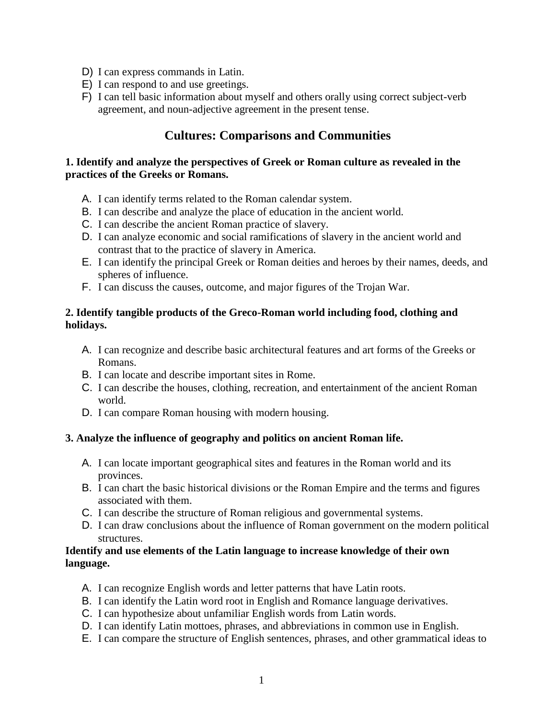- D) I can express commands in Latin.
- E) I can respond to and use greetings.
- F) I can tell basic information about myself and others orally using correct subject-verb agreement, and noun-adjective agreement in the present tense.

## **Cultures: Comparisons and Communities**

### **1. Identify and analyze the perspectives of Greek or Roman culture as revealed in the practices of the Greeks or Romans.**

- A. I can identify terms related to the Roman calendar system.
- B. I can describe and analyze the place of education in the ancient world.
- C. I can describe the ancient Roman practice of slavery.
- D. I can analyze economic and social ramifications of slavery in the ancient world and contrast that to the practice of slavery in America.
- E. I can identify the principal Greek or Roman deities and heroes by their names, deeds, and spheres of influence.
- F. I can discuss the causes, outcome, and major figures of the Trojan War.

## **2. Identify tangible products of the Greco-Roman world including food, clothing and holidays.**

- A. I can recognize and describe basic architectural features and art forms of the Greeks or Romans.
- B. I can locate and describe important sites in Rome.
- C. I can describe the houses, clothing, recreation, and entertainment of the ancient Roman world.
- D. I can compare Roman housing with modern housing.

## **3. Analyze the influence of geography and politics on ancient Roman life.**

- A. I can locate important geographical sites and features in the Roman world and its provinces.
- B. I can chart the basic historical divisions or the Roman Empire and the terms and figures associated with them.
- C. I can describe the structure of Roman religious and governmental systems.
- D. I can draw conclusions about the influence of Roman government on the modern political structures.

### **Identify and use elements of the Latin language to increase knowledge of their own language.**

- A. I can recognize English words and letter patterns that have Latin roots.
- B. I can identify the Latin word root in English and Romance language derivatives.
- C. I can hypothesize about unfamiliar English words from Latin words.
- D. I can identify Latin mottoes, phrases, and abbreviations in common use in English.
- E. I can compare the structure of English sentences, phrases, and other grammatical ideas to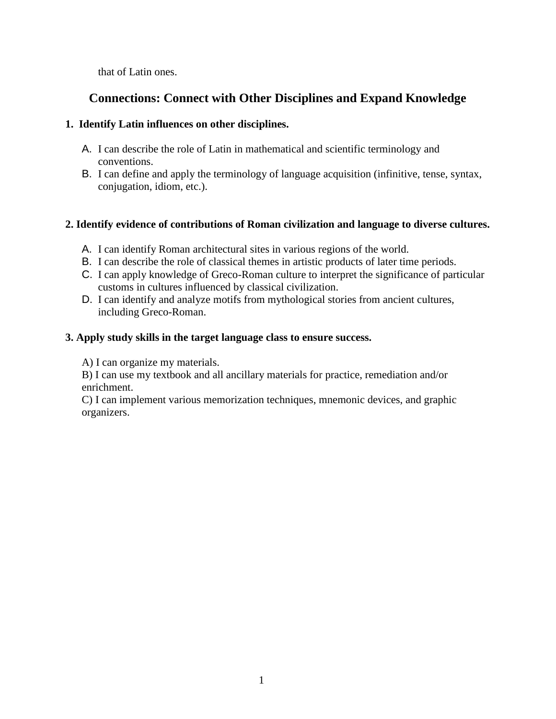that of Latin ones.

# **Connections: Connect with Other Disciplines and Expand Knowledge**

## **1. Identify Latin influences on other disciplines.**

- A. I can describe the role of Latin in mathematical and scientific terminology and conventions.
- B. I can define and apply the terminology of language acquisition (infinitive, tense, syntax, conjugation, idiom, etc.).

## **2. Identify evidence of contributions of Roman civilization and language to diverse cultures.**

- A. I can identify Roman architectural sites in various regions of the world.
- B. I can describe the role of classical themes in artistic products of later time periods.
- C. I can apply knowledge of Greco-Roman culture to interpret the significance of particular customs in cultures influenced by classical civilization.
- D. I can identify and analyze motifs from mythological stories from ancient cultures, including Greco-Roman.

## **3. Apply study skills in the target language class to ensure success.**

A) I can organize my materials.

B) I can use my textbook and all ancillary materials for practice, remediation and/or enrichment.

C) I can implement various memorization techniques, mnemonic devices, and graphic organizers.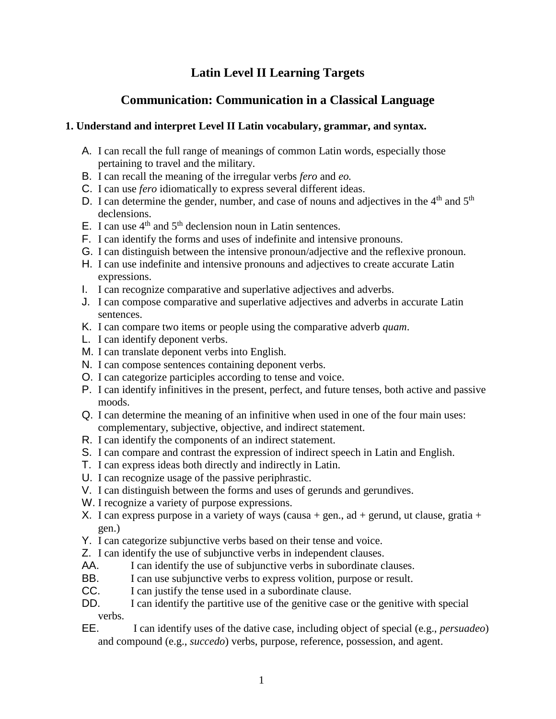# **Latin Level II Learning Targets**

# **Communication: Communication in a Classical Language**

### **1. Understand and interpret Level II Latin vocabulary, grammar, and syntax.**

- A. I can recall the full range of meanings of common Latin words, especially those pertaining to travel and the military.
- B. I can recall the meaning of the irregular verbs *fero* and *eo.*
- C. I can use *fero* idiomatically to express several different ideas.
- D. I can determine the gender, number, and case of nouns and adjectives in the  $4<sup>th</sup>$  and  $5<sup>th</sup>$ declensions.
- E. I can use  $4<sup>th</sup>$  and  $5<sup>th</sup>$  declension noun in Latin sentences.
- F. I can identify the forms and uses of indefinite and intensive pronouns.
- G. I can distinguish between the intensive pronoun/adjective and the reflexive pronoun.
- H. I can use indefinite and intensive pronouns and adjectives to create accurate Latin expressions.
- I. I can recognize comparative and superlative adjectives and adverbs.
- J. I can compose comparative and superlative adjectives and adverbs in accurate Latin sentences.
- K. I can compare two items or people using the comparative adverb *quam*.
- L. I can identify deponent verbs.
- M. I can translate deponent verbs into English.
- N. I can compose sentences containing deponent verbs.
- O. I can categorize participles according to tense and voice.
- P. I can identify infinitives in the present, perfect, and future tenses, both active and passive moods.
- Q. I can determine the meaning of an infinitive when used in one of the four main uses: complementary, subjective, objective, and indirect statement.
- R. I can identify the components of an indirect statement.
- S. I can compare and contrast the expression of indirect speech in Latin and English.
- T. I can express ideas both directly and indirectly in Latin.
- U. I can recognize usage of the passive periphrastic.
- V. I can distinguish between the forms and uses of gerunds and gerundives.
- W. I recognize a variety of purpose expressions.
- X. I can express purpose in a variety of ways (causa  $+$  gen., ad  $+$  gerund, ut clause, gratia  $+$ gen.)
- Y. I can categorize subjunctive verbs based on their tense and voice.
- Z. I can identify the use of subjunctive verbs in independent clauses.
- AA. I can identify the use of subjunctive verbs in subordinate clauses.
- BB. I can use subjunctive verbs to express volition, purpose or result.
- CC. I can justify the tense used in a subordinate clause.
- DD. I can identify the partitive use of the genitive case or the genitive with special verbs.<br>FF.
- EE. I can identify uses of the dative case, including object of special (e.g., *persuadeo*) and compound (e.g., *succedo*) verbs, purpose, reference, possession, and agent.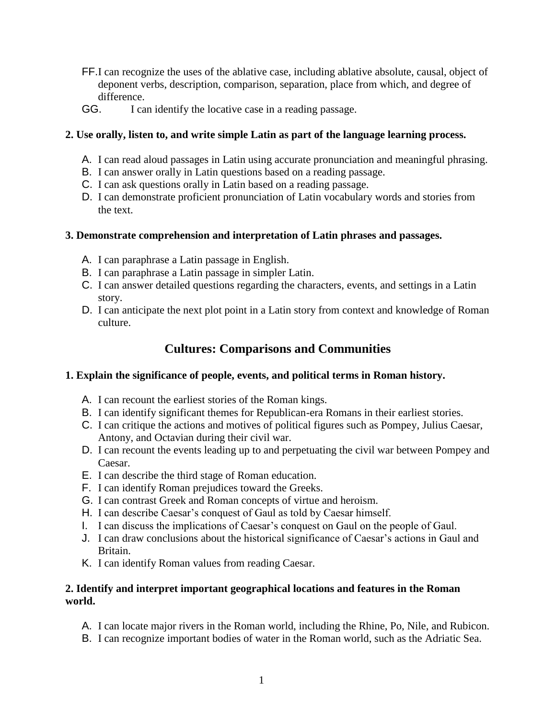- FF.I can recognize the uses of the ablative case, including ablative absolute, causal, object of deponent verbs, description, comparison, separation, place from which, and degree of difference.
- GG. I can identify the locative case in a reading passage.

## **2. Use orally, listen to, and write simple Latin as part of the language learning process.**

- A. I can read aloud passages in Latin using accurate pronunciation and meaningful phrasing.
- B. I can answer orally in Latin questions based on a reading passage.
- C. I can ask questions orally in Latin based on a reading passage.
- D. I can demonstrate proficient pronunciation of Latin vocabulary words and stories from the text.

## **3. Demonstrate comprehension and interpretation of Latin phrases and passages.**

- A. I can paraphrase a Latin passage in English.
- B. I can paraphrase a Latin passage in simpler Latin.
- C. I can answer detailed questions regarding the characters, events, and settings in a Latin story.
- D. I can anticipate the next plot point in a Latin story from context and knowledge of Roman culture.

# **Cultures: Comparisons and Communities**

## **1. Explain the significance of people, events, and political terms in Roman history.**

- A. I can recount the earliest stories of the Roman kings.
- B. I can identify significant themes for Republican-era Romans in their earliest stories.
- C. I can critique the actions and motives of political figures such as Pompey, Julius Caesar, Antony, and Octavian during their civil war.
- D. I can recount the events leading up to and perpetuating the civil war between Pompey and Caesar.
- E. I can describe the third stage of Roman education.
- F. I can identify Roman prejudices toward the Greeks.
- G. I can contrast Greek and Roman concepts of virtue and heroism.
- H. I can describe Caesar's conquest of Gaul as told by Caesar himself.
- I. I can discuss the implications of Caesar's conquest on Gaul on the people of Gaul.
- J. I can draw conclusions about the historical significance of Caesar's actions in Gaul and Britain.
- K. I can identify Roman values from reading Caesar.

## **2. Identify and interpret important geographical locations and features in the Roman world.**

- A. I can locate major rivers in the Roman world, including the Rhine, Po, Nile, and Rubicon.
- B. I can recognize important bodies of water in the Roman world, such as the Adriatic Sea.